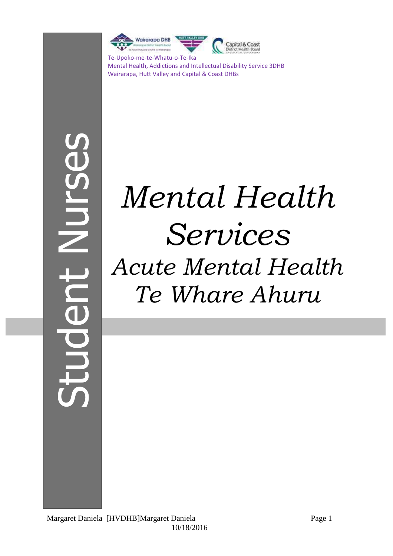

Mental Health, Addictions and Intellectual Disability Service 3DHB Wairarapa, Hutt Valley and Capital & Coast DHBs

# Student NursesUO

# *Mental Health Services Acute Mental Health Te Whare Ahuru*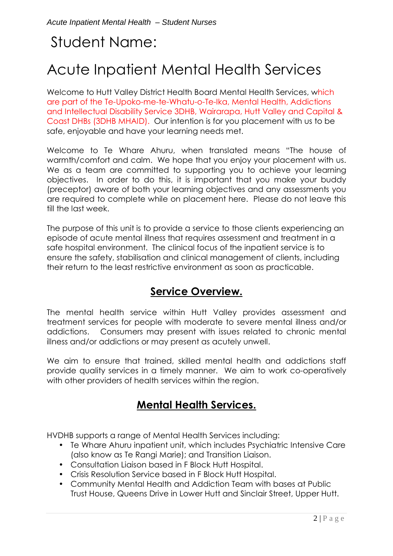# Student Name:

# Acute Inpatient Mental Health Services

Welcome to Hutt Valley District Health Board Mental Health Services, which are part of the Te-Upoko-me-te-Whatu-o-Te-Ika, Mental Health, Addictions and Intellectual Disability Service 3DHB, Wairarapa, Hutt Valley and Capital & Coast DHBs (3DHB MHAID). Our intention is for you placement with us to be safe, enjoyable and have your learning needs met.

Welcome to Te Whare Ahuru, when translated means "The house of warmth/comfort and calm. We hope that you enjoy your placement with us. We as a team are committed to supporting you to achieve your learning objectives. In order to do this, it is important that you make your buddy (preceptor) aware of both your learning objectives and any assessments you are required to complete while on placement here. Please do not leave this till the last week.

The purpose of this unit is to provide a service to those clients experiencing an episode of acute mental illness that requires assessment and treatment in a safe hospital environment. The clinical focus of the inpatient service is to ensure the safety, stabilisation and clinical management of clients, including their return to the least restrictive environment as soon as practicable.

### **Service Overview.**

The mental health service within Hutt Valley provides assessment and treatment services for people with moderate to severe mental illness and/or addictions. Consumers may present with issues related to chronic mental illness and/or addictions or may present as acutely unwell.

We aim to ensure that trained, skilled mental health and addictions staff provide quality services in a timely manner. We aim to work co-operatively with other providers of health services within the region.

### **Mental Health Services.**

HVDHB supports a range of Mental Health Services including:

- Te Whare Ahuru inpatient unit, which includes Psychiatric Intensive Care (also know as Te Rangi Marie); and Transition Liaison.
- Consultation Liaison based in F Block Hutt Hospital.
- Crisis Resolution Service based in F Block Hutt Hospital.
- Community Mental Health and Addiction Team with bases at Public Trust House, Queens Drive in Lower Hutt and Sinclair Street, Upper Hutt.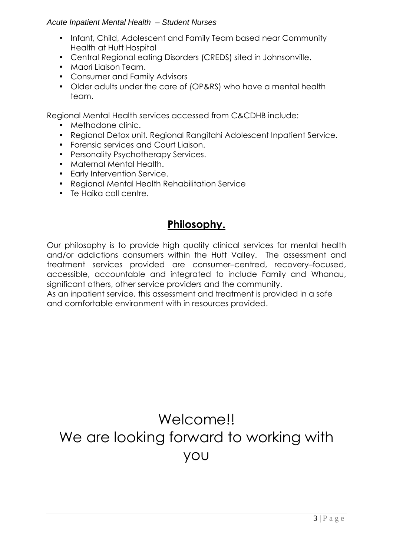- Infant, Child, Adolescent and Family Team based near Community Health at Hutt Hospital
- Central Regional eating Disorders (CREDS) sited in Johnsonville.
- Maori Liaison Team.
- Consumer and Family Advisors
- Older adults under the care of (OP&RS) who have a mental health team.

Regional Mental Health services accessed from C&CDHB include:

- Methadone clinic.
- Regional Detox unit. Regional Rangitahi Adolescent Inpatient Service.
- Forensic services and Court Liaison.
- Personality Psychotherapy Services.
- Maternal Mental Health.
- Early Intervention Service.
- Regional Mental Health Rehabilitation Service
- Te Haika call centre.

### **Philosophy.**

Our philosophy is to provide high quality clinical services for mental health and/or addictions consumers within the Hutt Valley. The assessment and treatment services provided are consumer–centred, recovery–focused, accessible, accountable and integrated to include Family and Whanau, significant others, other service providers and the community.

As an inpatient service, this assessment and treatment is provided in a safe and comfortable environment with in resources provided.

# Welcome!! We are looking forward to working with you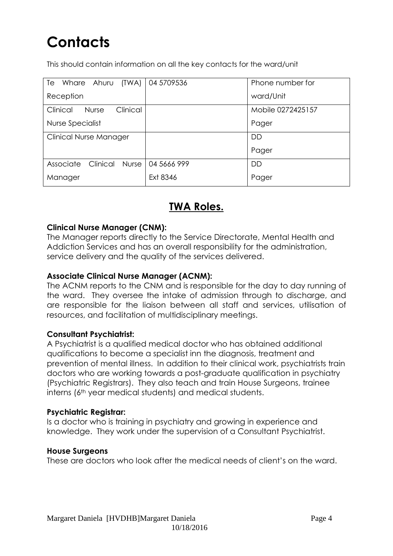# **Contacts**

This should contain information on all the key contacts for the ward/unit

| Whare Ahuru (TWA)   04 5709536<br>Te |             | Phone number for  |  |
|--------------------------------------|-------------|-------------------|--|
| Reception                            |             | ward/Unit         |  |
| Clinical<br>Clinical<br><b>Nurse</b> |             | Mobile 0272425157 |  |
| Nurse Specialist                     |             | Pager             |  |
| <b>Clinical Nurse Manager</b>        |             | <b>DD</b>         |  |
|                                      |             | Pager             |  |
| Associate<br>Clinical Nurse          | 04 5666 999 | DD                |  |
| Manager                              | Ext 8346    | Pager             |  |

### **TWA Roles.**

### **Clinical Nurse Manager (CNM):**

The Manager reports directly to the Service Directorate, Mental Health and Addiction Services and has an overall responsibility for the administration, service delivery and the quality of the services delivered.

### **Associate Clinical Nurse Manager (ACNM):**

The ACNM reports to the CNM and is responsible for the day to day running of the ward. They oversee the intake of admission through to discharge, and are responsible for the liaison between all staff and services, utilisation of resources, and facilitation of multidisciplinary meetings.

### **Consultant Psychiatrist:**

A Psychiatrist is a qualified medical doctor who has obtained additional qualifications to become a specialist inn the diagnosis, treatment and prevention of mental illness. In addition to their clinical work, psychiatrists train doctors who are working towards a post-graduate qualification in psychiatry (Psychiatric Registrars). They also teach and train House Surgeons, trainee interns (6th year medical students) and medical students.

### **Psychiatric Registrar:**

Is a doctor who is training in psychiatry and growing in experience and knowledge. They work under the supervision of a Consultant Psychiatrist.

### **House Surgeons**

These are doctors who look after the medical needs of client's on the ward.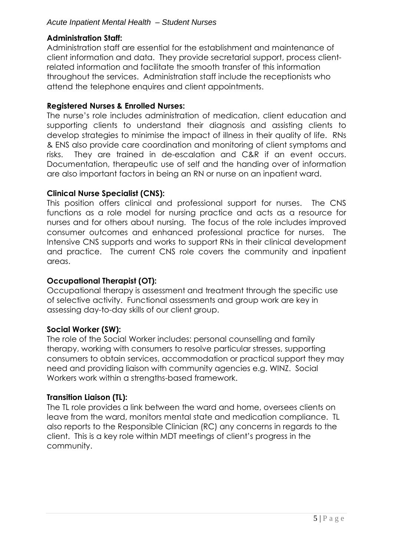### **Administration Staff:**

Administration staff are essential for the establishment and maintenance of client information and data. They provide secretarial support, process clientrelated information and facilitate the smooth transfer of this information throughout the services. Administration staff include the receptionists who attend the telephone enquires and client appointments.

### **Registered Nurses & Enrolled Nurses:**

The nurse's role includes administration of medication, client education and supporting clients to understand their diagnosis and assisting clients to develop strategies to minimise the impact of illness in their quality of life. RNs & ENS also provide care coordination and monitoring of client symptoms and risks. They are trained in de-escalation and C&R if an event occurs. Documentation, therapeutic use of self and the handing over of information are also important factors in being an RN or nurse on an inpatient ward.

### **Clinical Nurse Specialist (CNS):**

This position offers clinical and professional support for nurses. The CNS functions as a role model for nursing practice and acts as a resource for nurses and for others about nursing. The focus of the role includes improved consumer outcomes and enhanced professional practice for nurses. The Intensive CNS supports and works to support RNs in their clinical development and practice. The current CNS role covers the community and inpatient areas.

### **Occupational Therapist (OT):**

Occupational therapy is assessment and treatment through the specific use of selective activity. Functional assessments and group work are key in assessing day-to-day skills of our client group.

### **Social Worker (SW):**

The role of the Social Worker includes: personal counselling and family therapy, working with consumers to resolve particular stresses, supporting consumers to obtain services, accommodation or practical support they may need and providing liaison with community agencies e.g. WINZ. Social Workers work within a strengths-based framework.

### **Transition Liaison (TL):**

The TL role provides a link between the ward and home, oversees clients on leave from the ward, monitors mental state and medication compliance. TL also reports to the Responsible Clinician (RC) any concerns in regards to the client. This is a key role within MDT meetings of client's progress in the community.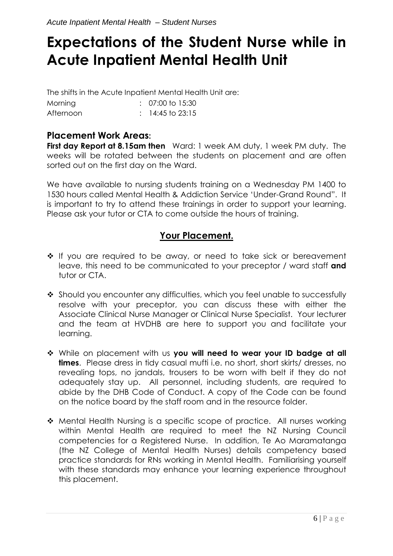# **Expectations of the Student Nurse while in Acute Inpatient Mental Health Unit**

The shifts in the Acute Inpatient Mental Health Unit are: Morning : 07:00 to 15:30 Afternoon : 14:45 to 23:15

### **Placement Work Areas:**

**First day Report at 8.15am then** Ward: 1 week AM duty, 1 week PM duty. The weeks will be rotated between the students on placement and are often sorted out on the first day on the Ward.

We have available to nursing students training on a Wednesday PM 1400 to 1530 hours called Mental Health & Addiction Service 'Under-Grand Round". It is important to try to attend these trainings in order to support your learning. Please ask your tutor or CTA to come outside the hours of training.

### **Your Placement.**

- $\cdot$  If you are required to be away, or need to take sick or bereavement leave, this need to be communicated to your preceptor / ward staff **and**  tutor or CTA.
- \* Should you encounter any difficulties, which you feel unable to successfully resolve with your preceptor, you can discuss these with either the Associate Clinical Nurse Manager or Clinical Nurse Specialist. Your lecturer and the team at HVDHB are here to support you and facilitate your learning.
- While on placement with us **you will need to wear your ID badge at all times**. Please dress in tidy casual mufti i.e. no short, short skirts/ dresses, no revealing tops, no jandals, trousers to be worn with belt if they do not adequately stay up. All personnel, including students, are required to abide by the DHB Code of Conduct. A copy of the Code can be found on the notice board by the staff room and in the resource folder.
- Mental Health Nursing is a specific scope of practice. All nurses working within Mental Health are required to meet the NZ Nursing Council competencies for a Registered Nurse. In addition, Te Ao Maramatanga (the NZ College of Mental Health Nurses) details competency based practice standards for RNs working in Mental Health. Familiarising yourself with these standards may enhance your learning experience throughout this placement.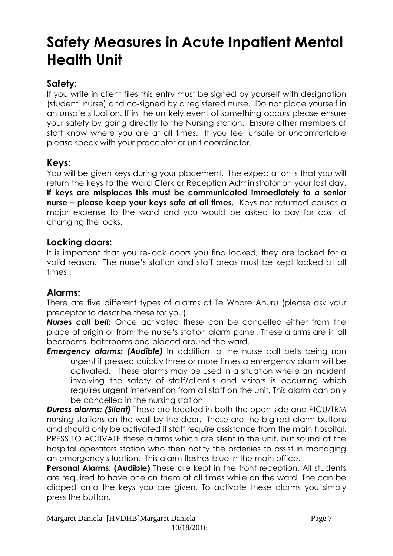# **Safety Measures in Acute Inpatient Mental Health Unit**

### **Safety:**

If you write in client files this entry must be signed by yourself with designation (student nurse) and co-signed by a registered nurse. Do not place yourself in an unsafe situation. If in the unlikely event of something occurs please ensure your safety by going directly to the Nursing station. Ensure other members of staff know where you are at all times. If you feel unsafe or uncomfortable please speak with your preceptor or unit coordinator.

### **Keys:**

You will be given keys during your placement. The expectation is that you will return the keys to the Ward Clerk or Reception Administrator on your last day. **If keys are misplaces this must be communicated immediately to a senior nurse – please keep your keys safe at all times.** Keys not returned causes a major expense to the ward and you would be asked to pay for cost of changing the locks.

### **Locking doors:**

It is important that you re-lock doors you find locked, they are locked for a valid reason. The nurse's station and staff areas must be kept locked at all times .

### **Alarms:**

There are five different types of alarms at Te Whare Ahuru (please ask your preceptor to describe these for you).

*Nurses call bell:* Once activated these can be cancelled either from the place of origin or from the nurse's station alarm panel. These alarms are in all bedrooms, bathrooms and placed around the ward.

**Emergency alarms: (Audible)** In addition to the nurse call bells being non urgent if pressed quickly three or more times a emergency alarm will be activated. These alarms may be used in a situation where an incident involving the safety of staff/client's and visitors is occurring which requires urgent intervention from all staff on the unit. This alarm can only be cancelled in the nursing station

*Duress alarms: (Silent)* These are located in both the open side and PICU/TRM nursing stations on the wall by the door. These are the big red alarm buttons and should only be activated if staff require assistance from the main hospital. PRESS TO ACTIVATE these alarms which are silent in the unit, but sound at the hospital operators station who then notify the orderlies to assist in managing an emergency situation. This alarm flashes blue in the main office.

**Personal Alarms: (Audible)** These are kept in the front reception. All students are required to have one on them at all times while on the ward. The can be clipped onto the keys you are given. To activate these alarms you simply press the button.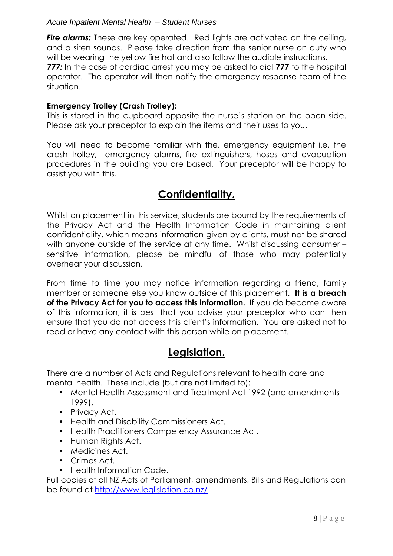**Fire alarms:** These are key operated. Red lights are activated on the ceiling, and a siren sounds. Please take direction from the senior nurse on duty who will be wearing the yellow fire hat and also follow the audible instructions. *777:* In the case of cardiac arrest you may be asked to dial **777** to the hospital operator. The operator will then notify the emergency response team of the situation.

### **Emergency Trolley (Crash Trolley):**

This is stored in the cupboard opposite the nurse's station on the open side. Please ask your preceptor to explain the items and their uses to you.

You will need to become familiar with the, emergency equipment i.e. the crash trolley, emergency alarms, fire extinguishers, hoses and evacuation procedures in the building you are based. Your preceptor will be happy to assist you with this.

### **Confidentiality.**

Whilst on placement in this service, students are bound by the requirements of the Privacy Act and the Health Information Code in maintaining client confidentiality, which means information given by clients, must not be shared with anyone outside of the service at any time. Whilst discussing consumer sensitive information, please be mindful of those who may potentially overhear your discussion.

From time to time you may notice information regarding a friend, family member or someone else you know outside of this placement. **It is a breach of the Privacy Act for you to access this information.** If you do become aware of this information, it is best that you advise your preceptor who can then ensure that you do not access this client's information. You are asked not to read or have any contact with this person while on placement.

### **Legislation.**

There are a number of Acts and Regulations relevant to health care and mental health. These include (but are not limited to):

- Mental Health Assessment and Treatment Act 1992 (and amendments 1999).
- Privacy Act.
- Health and Disability Commissioners Act.
- Health Practitioners Competency Assurance Act.
- Human Rights Act.
- Medicines Act.
- Crimes Act.
- Health Information Code.

Full copies of all NZ Acts of Parliament, amendments, Bills and Regulations can be found at http://www.leglislation.co.nz/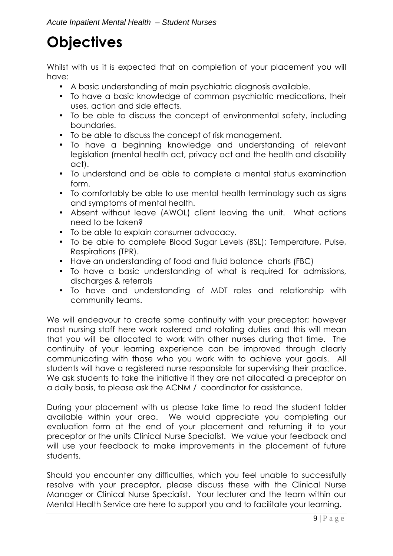# **Objectives**

Whilst with us it is expected that on completion of your placement you will have:

- A basic understanding of main psychiatric diagnosis available.
- To have a basic knowledge of common psychiatric medications, their uses, action and side effects.
- To be able to discuss the concept of environmental safety, including boundaries.
- To be able to discuss the concept of risk management.
- To have a beginning knowledge and understanding of relevant legislation (mental health act, privacy act and the health and disability act).
- To understand and be able to complete a mental status examination form.
- To comfortably be able to use mental health terminology such as signs and symptoms of mental health.
- Absent without leave (AWOL) client leaving the unit. What actions need to be taken?
- To be able to explain consumer advocacy.
- To be able to complete Blood Sugar Levels (BSL); Temperature, Pulse, Respirations (TPR).
- Have an understanding of food and fluid balance charts (FBC)
- To have a basic understanding of what is required for admissions, discharges & referrals
- To have and understanding of MDT roles and relationship with community teams.

We will endeavour to create some continuity with your preceptor; however most nursing staff here work rostered and rotating duties and this will mean that you will be allocated to work with other nurses during that time. The continuity of your learning experience can be improved through clearly communicating with those who you work with to achieve your goals. All students will have a registered nurse responsible for supervising their practice. We ask students to take the initiative if they are not allocated a preceptor on a daily basis, to please ask the ACNM / coordinator for assistance.

During your placement with us please take time to read the student folder available within your area. We would appreciate you completing our evaluation form at the end of your placement and returning it to your preceptor or the units Clinical Nurse Specialist. We value your feedback and will use your feedback to make improvements in the placement of future students.

Should you encounter any difficulties, which you feel unable to successfully resolve with your preceptor, please discuss these with the Clinical Nurse Manager or Clinical Nurse Specialist. Your lecturer and the team within our Mental Health Service are here to support you and to facilitate your learning.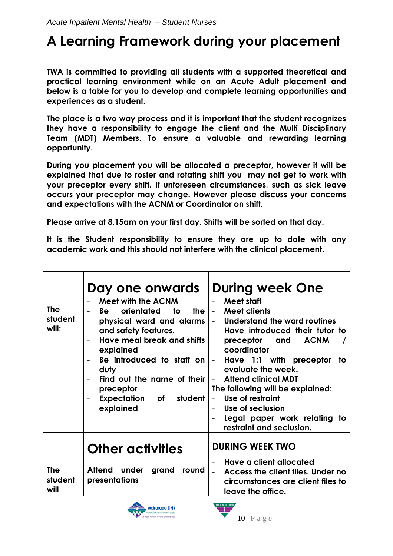# **A Learning Framework during your placement**

**TWA is committed to providing all students with a supported theoretical and practical learning environment while on an Acute Adult placement and below is a table for you to develop and complete learning opportunities and experiences as a student.** 

**The place is a two way process and it is important that the student recognizes they have a responsibility to engage the client and the Multi Disciplinary Team (MDT) Members. To ensure a valuable and rewarding learning opportunity.** 

**During you placement you will be allocated a preceptor, however it will be explained that due to roster and rotating shift you may not get to work with your preceptor every shift. If unforeseen circumstances, such as sick leave occurs your preceptor may change. However please discuss your concerns and expectations with the ACNM or Coordinator on shift.** 

**Please arrive at 8.15am on your first day. Shifts will be sorted on that day.** 

**It is the Student responsibility to ensure they are up to date with any academic work and this should not interfere with the clinical placement.** 

|                               | Day one onwards                                                                                                                                                                                                                                                                                                                  | <b>During week One</b>                                                                                                                                                                                                                                                                                                                                                                                                                          |  |  |  |
|-------------------------------|----------------------------------------------------------------------------------------------------------------------------------------------------------------------------------------------------------------------------------------------------------------------------------------------------------------------------------|-------------------------------------------------------------------------------------------------------------------------------------------------------------------------------------------------------------------------------------------------------------------------------------------------------------------------------------------------------------------------------------------------------------------------------------------------|--|--|--|
| The<br>student<br>will:       | <b>Meet with the ACNM</b><br>orientated<br>the<br>to to<br><b>Be</b><br>physical ward and alarms<br>and safety features.<br>Have meal break and shifts<br>$\overline{\phantom{a}}$<br>explained<br>Be introduced to staff on<br>duty<br>Find out the name of their<br>preceptor<br><b>Expectation</b><br>of student<br>explained | Meet staff<br><b>Meet clients</b><br>Understand the ward routines<br>$\blacksquare$<br>Have introduced their tutor to<br><b>ACNM</b><br>preceptor and<br>coordinator<br>Have 1:1 with preceptor<br>to<br>$\overline{\phantom{a}}$<br>evaluate the week.<br><b>Attend clinical MDT</b><br>The following will be explained:<br>Use of restraint<br>$\blacksquare$<br>Use of seclusion<br>Legal paper work relating to<br>restraint and seclusion. |  |  |  |
|                               | <b>Other activities</b>                                                                                                                                                                                                                                                                                                          | <b>DURING WEEK TWO</b>                                                                                                                                                                                                                                                                                                                                                                                                                          |  |  |  |
| <b>The</b><br>student<br>will | Attend under<br>grand<br>round<br>presentations                                                                                                                                                                                                                                                                                  | Have a client allocated<br>Access the client files. Under no<br>circumstances are client files to<br>leave the office.                                                                                                                                                                                                                                                                                                                          |  |  |  |

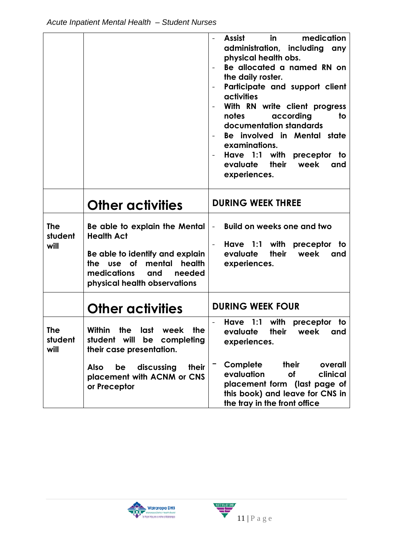|                               |                                                                                                                                                                                      | in<br>medication<br>Assist<br>administration, including<br>any<br>physical health obs.<br>Be allocated a named RN on<br>the daily roster.<br>Participate and support client<br>$\overline{\phantom{0}}$<br>activities<br>With RN write client progress<br>according<br>notes<br>to<br>documentation standards<br>Be involved in Mental state<br>examinations.<br>Have 1:1 with preceptor to<br>evaluate their<br>week<br>and<br>experiences. |
|-------------------------------|--------------------------------------------------------------------------------------------------------------------------------------------------------------------------------------|----------------------------------------------------------------------------------------------------------------------------------------------------------------------------------------------------------------------------------------------------------------------------------------------------------------------------------------------------------------------------------------------------------------------------------------------|
|                               | <b>Other activities</b>                                                                                                                                                              | <b>DURING WEEK THREE</b>                                                                                                                                                                                                                                                                                                                                                                                                                     |
| <b>The</b><br>student<br>will | Be able to explain the Mental<br><b>Health Act</b><br>Be able to identify and explain<br>the use of mental<br>health<br>needed<br>medications<br>and<br>physical health observations | <b>Build on weeks one and two</b><br>$\qquad \qquad -$<br>Have 1:1 with preceptor to<br>evaluate<br>their<br>week<br>and<br>experiences.                                                                                                                                                                                                                                                                                                     |
|                               | <b>Other activities</b>                                                                                                                                                              | <b>DURING WEEK FOUR</b>                                                                                                                                                                                                                                                                                                                                                                                                                      |
| <b>The</b><br>student<br>will | <b>Within</b><br>the<br>last<br>week<br>the<br>be<br>student will<br>completing<br>their case presentation.                                                                          | $1:1$ with<br>Have<br>preceptor<br>to<br>their<br>evaluate<br>week<br>and<br>experiences.                                                                                                                                                                                                                                                                                                                                                    |
|                               | discussing<br><b>Also</b><br>be<br>their<br>placement with ACNM or CNS<br>or Preceptor                                                                                               | Complete<br>their<br>overall<br>evaluation<br>clinical<br><b>of</b><br>placement form (last page of<br>this book) and leave for CNS in<br>the tray in the front office                                                                                                                                                                                                                                                                       |

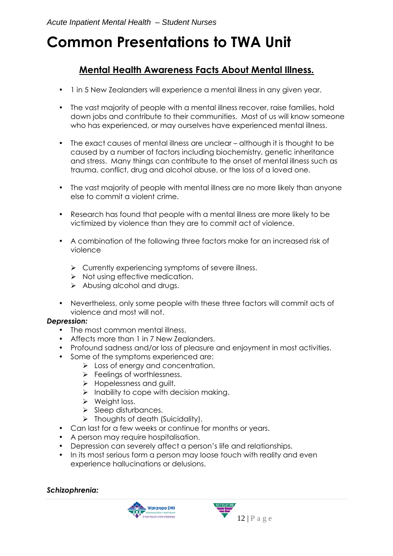# **Common Presentations to TWA Unit**

### **Mental Health Awareness Facts About Mental Illness.**

- 1 in 5 New Zealanders will experience a mental illness in any given year.
- The vast majority of people with a mental illness recover, raise families, hold down jobs and contribute to their communities. Most of us will know someone who has experienced, or may ourselves have experienced mental illness.
- The exact causes of mental illness are unclear although it is thought to be caused by a number of factors including biochemistry, genetic inheritance and stress. Many things can contribute to the onset of mental illness such as trauma, conflict, drug and alcohol abuse, or the loss of a loved one.
- The vast majority of people with mental illness are no more likely than anyone else to commit a violent crime.
- Research has found that people with a mental illness are more likely to be victimized by violence than they are to commit act of violence.
- A combination of the following three factors make for an increased risk of violence
	- > Currently experiencing symptoms of severe illness.
	- > Not using effective medication.
	- > Abusing alcohol and drugs.
- Nevertheless, only some people with these three factors will commit acts of violence and most will not.

### *Depression:*

- The most common mental illness.
- Affects more than 1 in 7 New Zealanders.
- Profound sadness and/or loss of pleasure and enjoyment in most activities.
- Some of the symptoms experienced are:
	- > Loss of energy and concentration.
	- > Feelings of worthlessness.
	- > Hopelessness and guilt.
	- > Inability to cope with decision making.
	- > Weight loss.
	- > Sleep disturbances.
	- > Thoughts of death (Suicidality).
- Can last for a few weeks or continue for months or years.
- A person may require hospitalisation.
- Depression can severely affect a person's life and relationships.
- In its most serious form a person may loose touch with reality and even experience hallucinations or delusions.

### *Schizophrenia:*



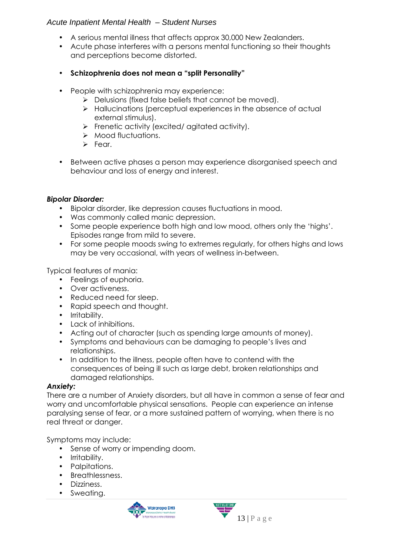- A serious mental illness that affects approx 30,000 New Zealanders.
- Acute phase interferes with a persons mental functioning so their thoughts and perceptions become distorted.
- **Schizophrenia does not mean a "split Personality"**
- People with schizophrenia may experience:
	- > Delusions (fixed false beliefs that cannot be moved).
	- > Hallucinations (perceptual experiences in the absence of actual external stimulus).
	- > Frenetic activity (excited/ agitated activity).
	- > Mood fluctuations.
	- > Fear.
- Between active phases a person may experience disorganised speech and behaviour and loss of energy and interest.

### *Bipolar Disorder:*

- Bipolar disorder, like depression causes fluctuations in mood.
- Was commonly called manic depression.
- Some people experience both high and low mood, others only the 'highs'. Episodes range from mild to severe.
- For some people moods swing to extremes regularly, for others highs and lows may be very occasional, with years of wellness in-between.

Typical features of mania:

- Feelings of euphoria.
- Over activeness.
- Reduced need for sleep.
- Rapid speech and thought.
- Irritability.
- Lack of inhibitions.
- Acting out of character (such as spending large amounts of money).
- Symptoms and behaviours can be damaging to people's lives and relationships.
- In addition to the illness, people often have to contend with the consequences of being ill such as large debt, broken relationships and damaged relationships.

### *Anxiety:*

There are a number of Anxiety disorders, but all have in common a sense of fear and worry and uncomfortable physical sensations. People can experience an intense paralysing sense of fear, or a more sustained pattern of worrying, when there is no real threat or danger.

Symptoms may include:

- Sense of worry or impending doom.
- Irritability.
- Palpitations.
- Breathlessness.
- Dizziness.
- Sweating.



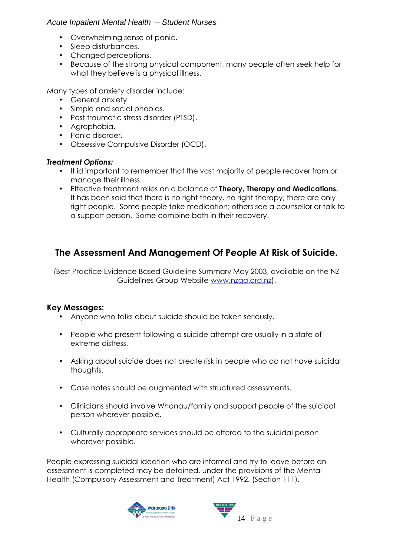- Overwhelming sense of panic.
- Sleep disturbances.
- Changed perceptions.
- Because of the strong physical component, many people often seek help for what they believe is a physical illness.

Many types of anxiety disorder include:

- General anxiety.
- Simple and social phobias.
- Post traumatic stress disorder (PTSD).
- Agrophobia.
- Panic disorder.
- Obsessive Compulsive Disorder (OCD).

### *Treatment Options:*

- It id important to remember that the vast majority of people recover from or manage their illness.
- Effective treatment relies on a balance of **Theory, Therapy and Medications.**  It has been said that there is no right theory, no right therapy, there are only right people. Some people take medication; others see a counsellor or talk to a support person. Some combine both in their recovery.

### **The Assessment And Management Of People At Risk of Suicide.**

(Best Practice Evidence Based Guideline Summary May 2003, available on the NZ Guidelines Group Website www.nzgg.org.nz).

### **Key Messages:**

- Anyone who talks about suicide should be taken seriously.
- People who present following a suicide attempt are usually in a state of extreme distress.
- Asking about suicide does not create risk in people who do not have suicidal thoughts.
- Case notes should be augmented with structured assessments.
- Clinicians should involve Whanau/family and support people of the suicidal person wherever possible.
- Culturally appropriate services should be offered to the suicidal person wherever possible.

People expressing suicidal ideation who are informal and try to leave before an assessment is completed may be detained, under the provisions of the Mental Health (Compulsory Assessment and Treatment) Act 1992. (Section 111).



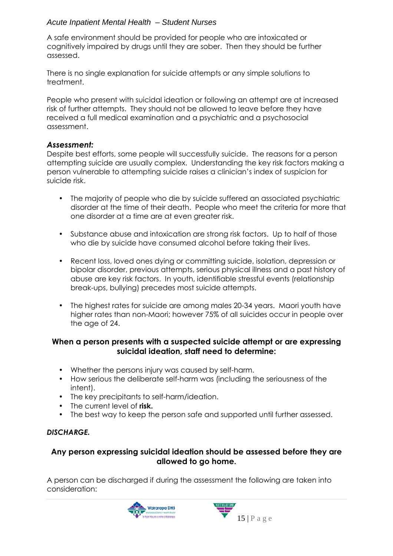A safe environment should be provided for people who are intoxicated or cognitively impaired by drugs until they are sober. Then they should be further assessed.

There is no single explanation for suicide attempts or any simple solutions to treatment.

People who present with suicidal ideation or following an attempt are at increased risk of further attempts. They should not be allowed to leave before they have received a full medical examination and a psychiatric and a psychosocial assessment.

### *Assessment:*

Despite best efforts, some people will successfully suicide. The reasons for a person attempting suicide are usually complex. Understanding the key risk factors making a person vulnerable to attempting suicide raises a clinician's index of suspicion for suicide risk.

- The majority of people who die by suicide suffered an associated psychiatric disorder at the time of their death. People who meet the criteria for more that one disorder at a time are at even greater risk.
- Substance abuse and intoxication are strong risk factors. Up to half of those who die by suicide have consumed alcohol before taking their lives.
- Recent loss, loved ones dying or committing suicide, isolation, depression or bipolar disorder, previous attempts, serious physical illness and a past history of abuse are key risk factors. In youth, identifiable stressful events (relationship break-ups, bullying) precedes most suicide attempts.
- The highest rates for suicide are among males 20-34 years. Maori youth have higher rates than non-Maori; however 75% of all suicides occur in people over the age of 24.

### **When a person presents with a suspected suicide attempt or are expressing suicidal ideation, staff need to determine:**

- Whether the persons injury was caused by self-harm.
- How serious the deliberate self-harm was (including the seriousness of the intent).
- The key precipitants to self-harm/ideation.
- The current level of **risk.**
- The best way to keep the person safe and supported until further assessed.

### *DISCHARGE.*

### **Any person expressing suicidal ideation should be assessed before they are allowed to go home.**

A person can be discharged if during the assessment the following are taken into consideration:

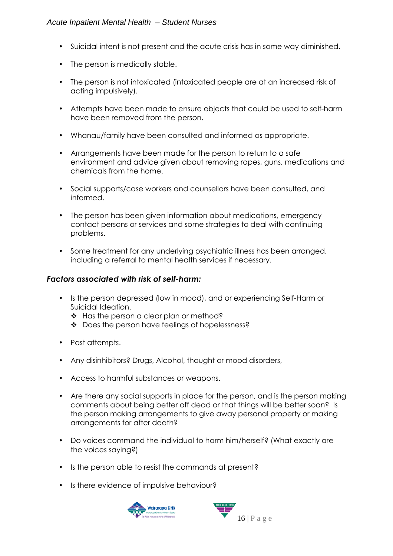- Suicidal intent is not present and the acute crisis has in some way diminished.
- The person is medically stable.
- The person is not intoxicated (intoxicated people are at an increased risk of acting impulsively).
- Attempts have been made to ensure objects that could be used to self-harm have been removed from the person.
- Whanau/family have been consulted and informed as appropriate.
- Arrangements have been made for the person to return to a safe environment and advice given about removing ropes, guns, medications and chemicals from the home.
- Social supports/case workers and counsellors have been consulted, and informed.
- The person has been given information about medications, emergency contact persons or services and some strategies to deal with continuing problems.
- Some treatment for any underlying psychiatric illness has been arranged, including a referral to mental health services if necessary.

### *Factors associated with risk of self-harm:*

- Is the person depressed (low in mood), and or experiencing Self-Harm or Suicidal Ideation.
	- \* Has the person a clear plan or method?
	- ◆ Does the person have feelings of hopelessness?
- Past attempts.
- Any disinhibitors? Drugs, Alcohol, thought or mood disorders,
- Access to harmful substances or weapons.
- Are there any social supports in place for the person, and is the person making comments about being better off dead or that things will be better soon? Is the person making arrangements to give away personal property or making arrangements for after death?
- Do voices command the individual to harm him/herself? (What exactly are the voices saying?)
- Is the person able to resist the commands at present?
- Is there evidence of impulsive behaviour?

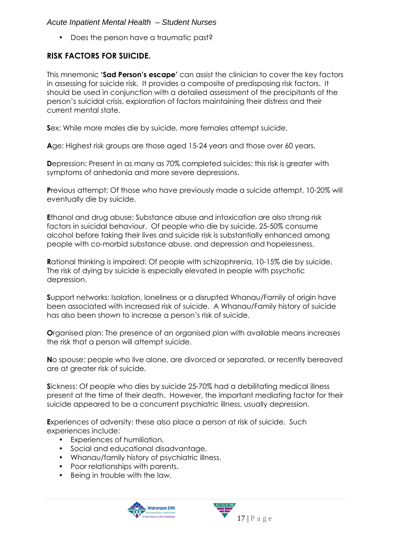• Does the person have a traumatic past?

### **RISK FACTORS FOR SUICIDE.**

This mnemonic **'Sad Person's escape'** can assist the clinician to cover the key factors in assessing for suicide risk. It provides a composite of predisposing risk factors. It should be used in conjunction with a detailed assessment of the precipitants of the person's suicidal crisis, exploration of factors maintaining their distress and their current mental state.

**S**ex: While more males die by suicide, more females attempt suicide.

**A**ge: Highest risk groups are those aged 15-24 years and those over 60 years.

**D**epression: Present in as many as 70% completed suicides; this risk is greater with symptoms of anhedonia and more severe depressions.

**P**revious attempt: Of those who have previously made a suicide attempt, 10-20% will eventually die by suicide.

**E**thanol and drug abuse: Substance abuse and intoxication are also strong risk factors in suicidal behaviour. Of people who die by suicide, 25-50% consume alcohol before taking their lives and suicide risk is substantially enhanced among people with co-morbid substance abuse, and depression and hopelessness.

**R**ational thinking is impaired: Of people with schizophrenia, 10-15% die by suicide. The risk of dying by suicide is especially elevated in people with psychotic depression.

**S**upport networks: Isolation, loneliness or a disrupted Whanau/Family of origin have been associated with increased risk of suicide. A Whanau/Family history of suicide has also been shown to increase a person's risk of suicide.

**O**rganised plan: The presence of an organised plan with available means increases the risk that a person will attempt suicide.

**N**o spouse: people who live alone, are divorced or separated, or recently bereaved are at greater risk of suicide.

**S**ickness: Of people who dies by suicide 25-70% had a debilitating medical illness present at the time of their death. However, the important mediating factor for their suicide appeared to be a concurrent psychiatric illness, usually depression.

**E**xperiences of adversity: these also place a person at risk of suicide. Such experiences include:

- Experiences of humiliation.
- Social and educational disadvantage.
- Whanau/family history of psychiatric illness.
- Poor relationships with parents.
- Being in trouble with the law.



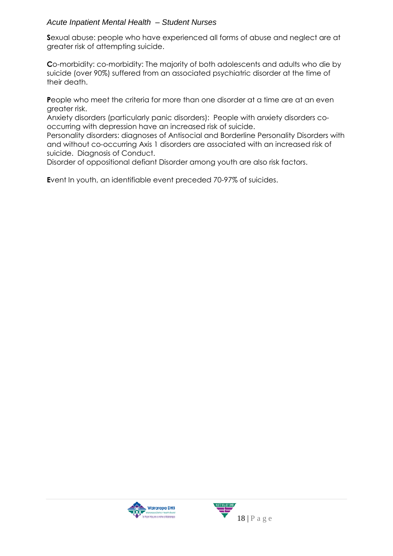**S**exual abuse: people who have experienced all forms of abuse and neglect are at greater risk of attempting suicide.

**C**o-morbidity: co-morbidity: The majority of both adolescents and adults who die by suicide (over 90%) suffered from an associated psychiatric disorder at the time of their death.

**P**eople who meet the criteria for more than one disorder at a time are at an even greater risk.

Anxiety disorders (particularly panic disorders): People with anxiety disorders cooccurring with depression have an increased risk of suicide.

Personality disorders: diagnoses of Antisocial and Borderline Personality Disorders with and without co-occurring Axis 1 disorders are associated with an increased risk of suicide. Diagnosis of Conduct.

Disorder of oppositional defiant Disorder among youth are also risk factors.

**E**vent In youth, an identifiable event preceded 70-97% of suicides.



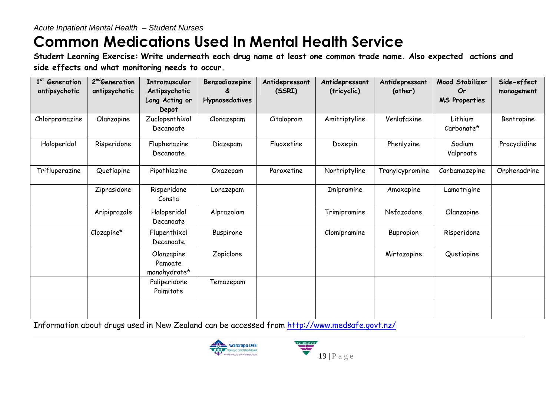# **Common Medications Used In Mental Health Service**

 **Student Learning Exercise: Write underneath each drug name at least one common trade name. Also expected actions and side effects and what monitoring needs to occur.** 

| 1 <sup>st</sup> Generation<br>antipsychotic | 2 <sup>nd</sup> Generation<br>antipsychotic | Intramuscular<br>Antipsychotic<br>Long Acting or<br>Depot | Benzodiazepine<br><b>Hypnosedatives</b> | Antidepressant<br>(SSRI) | Antidepressant<br>(tricyclic) | Antidepressant<br>(other) | Mood Stabilizer<br>Or<br><b>MS Properties</b> | Side-effect<br>management |
|---------------------------------------------|---------------------------------------------|-----------------------------------------------------------|-----------------------------------------|--------------------------|-------------------------------|---------------------------|-----------------------------------------------|---------------------------|
| Chlorpromazine                              | Olanzapine                                  | Zuclopenthixol<br>Decanoate                               | Clonazepam                              | Citalopram               | Amitriptyline                 | Venlafaxine               | Lithium<br>Carbonate*                         | Bentropine                |
| Haloperidol                                 | Risperidone                                 | Fluphenazine<br>Decanoate                                 | Diazepam                                | Fluoxetine               | Doxepin                       | Phenlyzine                | Sodium<br>Valproate                           | Procyclidine              |
| Trifluperazine                              | Quetiapine                                  | Pipothiazine                                              | Oxazepam                                | Paroxetine               | Nortriptyline                 | Tranylcypromine           | Carbamazepine                                 | Orphenadrine              |
|                                             | Ziprasidone                                 | Risperidone<br>Consta                                     | Lorazepam                               |                          | Imipramine                    | Amoxapine                 | Lamotrigine                                   |                           |
|                                             | Aripiprazole                                | Haloperidol<br>Decanoate                                  | Alprazolam                              |                          | Trimipramine                  | Nefazodone                | Olanzapine                                    |                           |
|                                             | Clozapine*                                  | Flupenthixol<br>Decanoate                                 | Buspirone                               |                          | Clomipramine                  | Bupropion                 | Risperidone                                   |                           |
|                                             |                                             | Olanzapine<br>Pamoate<br>monohydrate*                     | Zopiclone                               |                          |                               | Mirtazapine               | Quetiapine                                    |                           |
|                                             |                                             | Paliperidone<br>Palmitate                                 | Temazepam                               |                          |                               |                           |                                               |                           |
|                                             |                                             |                                                           |                                         |                          |                               |                           |                                               |                           |

Information about drugs used in New Zealand can be accessed from http://www.medsafe.govt.nz/



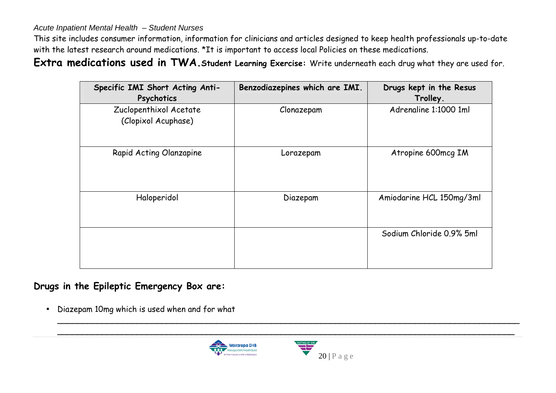This site includes consumer information, information for clinicians and articles designed to keep health professionals up-to-date with the latest research around medications. \*It is important to access local Policies on these medications.

**Extra medications used in TWA.Student Learning Exercise:** Write underneath each drug what they are used for.

| Specific IMI Short Acting Anti-<br>Psychotics | Benzodiazepines which are IMI. | Drugs kept in the Resus<br>Trolley. |
|-----------------------------------------------|--------------------------------|-------------------------------------|
| Zuclopenthixol Acetate<br>(Clopixol Acuphase) | Clonazepam                     | Adrenaline 1:1000 1ml               |
| Rapid Acting Olanzapine                       | Lorazepam                      | Atropine 600mcg IM                  |
| Haloperidol                                   | Diazepam                       | Amiodarine HCL 150mg/3ml            |
|                                               |                                | Sodium Chloride 0.9% 5ml            |
| he Epileptic Emergency Box are:               |                                |                                     |

**Drugs in the Epileptic Emergency Box are:** 

•Diazepam 10mg which is used when and for what



\_\_\_\_\_\_\_\_\_\_\_\_\_\_\_\_\_\_\_\_\_\_\_\_\_\_\_\_\_\_\_\_\_\_\_\_\_\_\_\_\_\_\_\_\_\_\_\_\_\_\_\_\_\_\_\_\_\_\_\_\_\_\_\_\_\_\_\_\_\_\_\_\_\_\_\_\_\_\_\_\_\_\_\_\_\_\_\_\_\_\_\_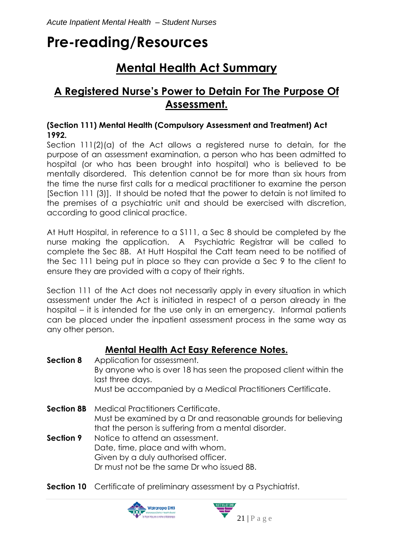# **Pre-reading/Resources**

## **Mental Health Act Summary**

### **A Registered Nurse's Power to Detain For The Purpose Of Assessment.**

### **(Section 111) Mental Health (Compulsory Assessment and Treatment) Act 1992.**

Section 111(2)(a) of the Act allows a registered nurse to detain, for the purpose of an assessment examination, a person who has been admitted to hospital (or who has been brought into hospital) who is believed to be mentally disordered. This detention cannot be for more than six hours from the time the nurse first calls for a medical practitioner to examine the person [Section 111 (3)]. It should be noted that the power to detain is not limited to the premises of a psychiatric unit and should be exercised with discretion, according to good clinical practice.

At Hutt Hospital, in reference to a S111, a Sec 8 should be completed by the nurse making the application. A Psychiatric Registrar will be called to complete the Sec 8B. At Hutt Hospital the Catt team need to be notified of the Sec 111 being put in place so they can provide a Sec 9 to the client to ensure they are provided with a copy of their rights.

Section 111 of the Act does not necessarily apply in every situation in which assessment under the Act is initiated in respect of a person already in the hospital – it is intended for the use only in an emergency. Informal patients can be placed under the inpatient assessment process in the same way as any other person.

### **Mental Health Act Easy Reference Notes.**

| <b>Section 8</b> | Application for assessment.<br>By anyone who is over 18 has seen the proposed client within the<br>last three days.<br>Must be accompanied by a Medical Practitioners Certificate. |
|------------------|------------------------------------------------------------------------------------------------------------------------------------------------------------------------------------|
| Section 8B       | Medical Practitioners Certificate.<br>Must be examined by a Dr and reasonable grounds for believing<br>that the person is suffering from a mental disorder.                        |
| Section 9        | Notice to attend an assessment.<br>Date, time, place and with whom.<br>Given by a duly authorised officer.<br>Dr must not be the same Dr who issued 8B.                            |

**Section 10** Certificate of preliminary assessment by a Psychiatrist.

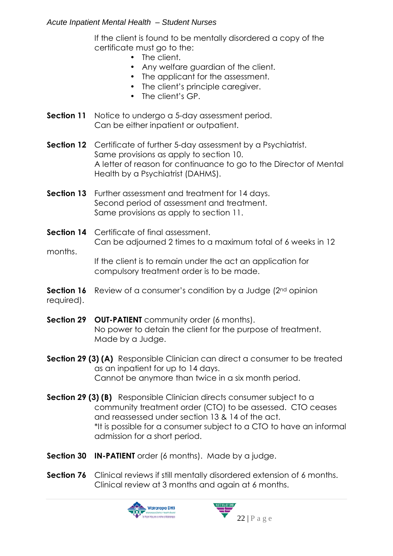If the client is found to be mentally disordered a copy of the certificate must go to the:

- The client.
- Any welfare guardian of the client.
- The applicant for the assessment.
- The client's principle caregiver.
- The client's GP.
- **Section 11** Notice to undergo a 5-day assessment period. Can be either inpatient or outpatient.
- **Section 12** Certificate of further 5-day assessment by a Psychiatrist. Same provisions as apply to section 10. A letter of reason for continuance to go to the Director of Mental Health by a Psychiatrist (DAHMS).
- **Section 13** Further assessment and treatment for 14 days. Second period of assessment and treatment. Same provisions as apply to section 11.

### **Section 14** Certificate of final assessment. Can be adjourned 2 times to a maximum total of 6 weeks in 12 months. If the client is to remain under the act an application for compulsory treatment order is to be made.

- **Section 16** Review of a consumer's condition by a Judge (2<sup>nd</sup> opinion required).
- **Section 29 OUT-PATIENT** community order (6 months). No power to detain the client for the purpose of treatment. Made by a Judge.
- **Section 29 (3) (A)** Responsible Clinician can direct a consumer to be treated as an inpatient for up to 14 days. Cannot be anymore than twice in a six month period.
- **Section 29 (3) (B)** Responsible Clinician directs consumer subject to a community treatment order (CTO) to be assessed. CTO ceases and reassessed under section 13 & 14 of the act. \*It is possible for a consumer subject to a CTO to have an informal admission for a short period.
- **Section 30 IN-PATIENT** order (6 months). Made by a judge.
- **Section 76** Clinical reviews if still mentally disordered extension of 6 months. Clinical review at 3 months and again at 6 months.



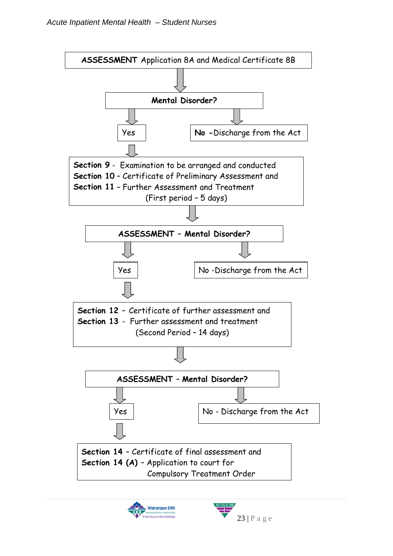

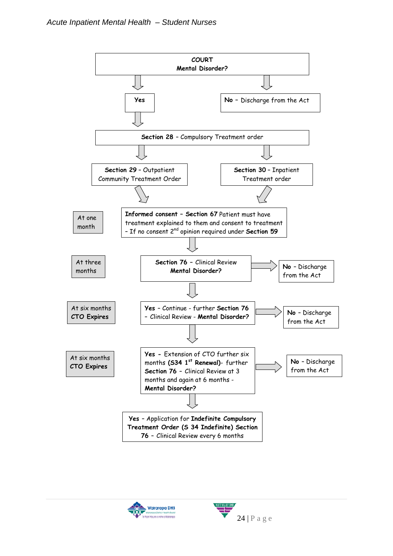

**Wairarapa DHB**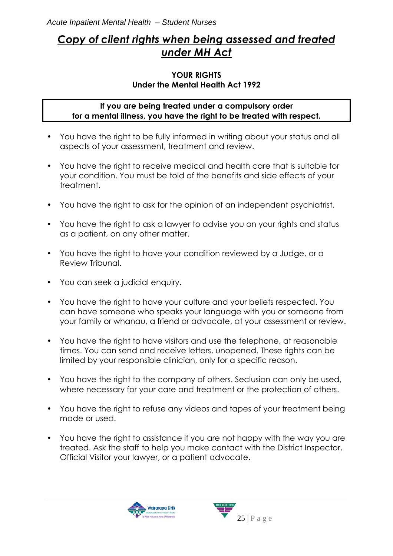### *Copy of client rights when being assessed and treated under MH Act*

### **YOUR RIGHTS Under the Mental Health Act 1992**

### **If you are being treated under a compulsory order for a mental illness, you have the right to be treated with respect.**

- You have the right to be fully informed in writing about your status and all aspects of your assessment, treatment and review.
- You have the right to receive medical and health care that is suitable for your condition. You must be told of the benefits and side effects of your treatment.
- You have the right to ask for the opinion of an independent psychiatrist.
- You have the right to ask a lawyer to advise you on your rights and status as a patient, on any other matter.
- You have the right to have your condition reviewed by a Judge, or a Review Tribunal.
- You can seek a judicial enquiry.
- You have the right to have your culture and your beliefs respected. You can have someone who speaks your language with you or someone from your family or whanau, a friend or advocate, at your assessment or review.
- You have the right to have visitors and use the telephone, at reasonable times. You can send and receive letters, unopened. These rights can be limited by your responsible clinician, only for a specific reason.
- You have the right to the company of others. Seclusion can only be used, where necessary for your care and treatment or the protection of others.
- You have the right to refuse any videos and tapes of your treatment being made or used.
- You have the right to assistance if you are not happy with the way you are treated. Ask the staff to help you make contact with the District Inspector, Official Visitor your lawyer, or a patient advocate.



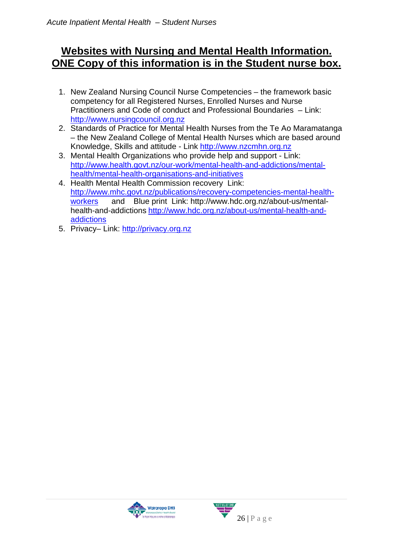### **Websites with Nursing and Mental Health Information. ONE Copy of this information is in the Student nurse box.**

- 1. New Zealand Nursing Council Nurse Competencies the framework basic competency for all Registered Nurses, Enrolled Nurses and Nurse Practitioners and Code of conduct and Professional Boundaries – Link: http://www.nursingcouncil.org.nz
- 2. Standards of Practice for Mental Health Nurses from the Te Ao Maramatanga – the New Zealand College of Mental Health Nurses which are based around Knowledge, Skills and attitude - Link http://www.nzcmhn.org.nz
- 3. Mental Health Organizations who provide help and support Link: http://www.health.govt.nz/our-work/mental-health-and-addictions/mentalhealth/mental-health-organisations-and-initiatives
- 4. Health Mental Health Commission recovery Link: http://www.mhc.govt.nz/publications/recovery-competencies-mental-healthworkers and Blue print Link: http://www.hdc.org.nz/about-us/mentalhealth-and-addictions http://www.hdc.org.nz/about-us/mental-health-andaddictions
- 5. Privacy– Link: http://privacy.org.nz



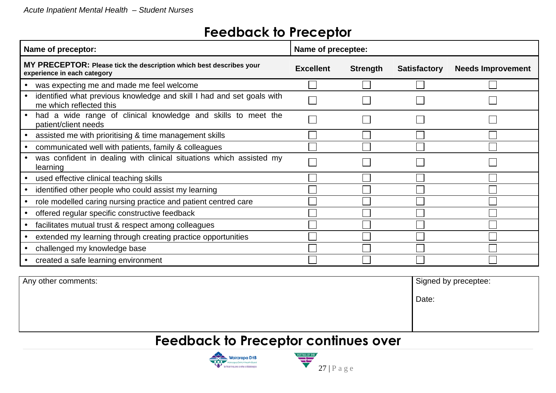Any other comments:

# **Feedback to Preceptor**

| Name of preceptor:                                                                                 | Name of preceptee: |                 |                     |                          |
|----------------------------------------------------------------------------------------------------|--------------------|-----------------|---------------------|--------------------------|
| MY PRECEPTOR: Please tick the description which best describes your<br>experience in each category | <b>Excellent</b>   | <b>Strength</b> | <b>Satisfactory</b> | <b>Needs Improvement</b> |
| was expecting me and made me feel welcome                                                          |                    |                 |                     |                          |
| identified what previous knowledge and skill I had and set goals with<br>me which reflected this   |                    |                 |                     |                          |
| had a wide range of clinical knowledge and skills to meet the<br>patient/client needs              |                    |                 |                     |                          |
| assisted me with prioritising & time management skills                                             |                    |                 |                     |                          |
| communicated well with patients, family & colleagues                                               |                    |                 |                     |                          |
| was confident in dealing with clinical situations which assisted my<br>learning                    |                    |                 |                     |                          |
| used effective clinical teaching skills                                                            |                    |                 |                     |                          |
| identified other people who could assist my learning                                               |                    |                 |                     |                          |
| role modelled caring nursing practice and patient centred care                                     |                    |                 |                     |                          |
| offered regular specific constructive feedback                                                     |                    |                 |                     |                          |
| facilitates mutual trust & respect among colleagues                                                |                    |                 |                     |                          |
| extended my learning through creating practice opportunities                                       |                    |                 |                     |                          |
| challenged my knowledge base                                                                       |                    |                 |                     |                          |
| created a safe learning environment                                                                |                    |                 |                     |                          |

| Signed by preceptee: |
|----------------------|
| Date:                |
|                      |

# **Feedback to Preceptor continues over**